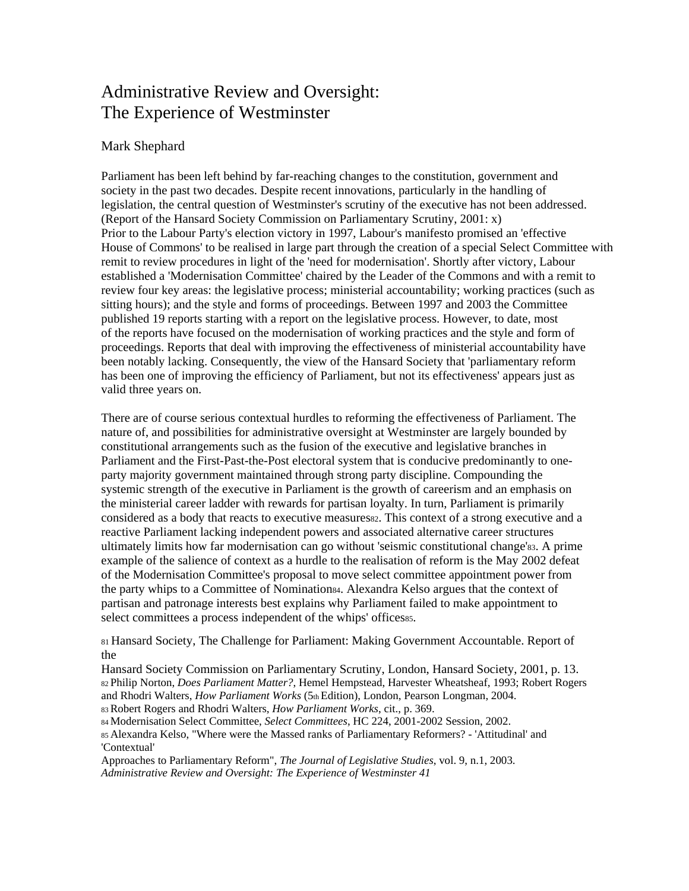# Administrative Review and Oversight: The Experience of Westminster

## Mark Shephard

Parliament has been left behind by far-reaching changes to the constitution, government and society in the past two decades. Despite recent innovations, particularly in the handling of legislation, the central question of Westminster's scrutiny of the executive has not been addressed. (Report of the Hansard Society Commission on Parliamentary Scrutiny, 2001: x) Prior to the Labour Party's election victory in 1997, Labour's manifesto promised an 'effective House of Commons' to be realised in large part through the creation of a special Select Committee with remit to review procedures in light of the 'need for modernisation'. Shortly after victory, Labour established a 'Modernisation Committee' chaired by the Leader of the Commons and with a remit to review four key areas: the legislative process; ministerial accountability; working practices (such as sitting hours); and the style and forms of proceedings. Between 1997 and 2003 the Committee published 19 reports starting with a report on the legislative process. However, to date, most of the reports have focused on the modernisation of working practices and the style and form of proceedings. Reports that deal with improving the effectiveness of ministerial accountability have been notably lacking. Consequently, the view of the Hansard Society that 'parliamentary reform has been one of improving the efficiency of Parliament, but not its effectiveness' appears just as valid three years on.

There are of course serious contextual hurdles to reforming the effectiveness of Parliament. The nature of, and possibilities for administrative oversight at Westminster are largely bounded by constitutional arrangements such as the fusion of the executive and legislative branches in Parliament and the First-Past-the-Post electoral system that is conducive predominantly to oneparty majority government maintained through strong party discipline. Compounding the systemic strength of the executive in Parliament is the growth of careerism and an emphasis on the ministerial career ladder with rewards for partisan loyalty. In turn, Parliament is primarily considered as a body that reacts to executive measures a. This context of a strong executive and a reactive Parliament lacking independent powers and associated alternative career structures ultimately limits how far modernisation can go without 'seismic constitutional change'83. A prime example of the salience of context as a hurdle to the realisation of reform is the May 2002 defeat of the Modernisation Committee's proposal to move select committee appointment power from the party whips to a Committee of Nomination84. Alexandra Kelso argues that the context of partisan and patronage interests best explains why Parliament failed to make appointment to select committees a process independent of the whips' officesss.

81 Hansard Society, The Challenge for Parliament: Making Government Accountable. Report of the

Hansard Society Commission on Parliamentary Scrutiny, London, Hansard Society, 2001, p. 13. 82 Philip Norton, *Does Parliament Matter?*, Hemel Hempstead, Harvester Wheatsheaf, 1993; Robert Rogers and Rhodri Walters, *How Parliament Works* (5th Edition), London, Pearson Longman, 2004.

83 Robert Rogers and Rhodri Walters, *How Parliament Works*, cit., p. 369.

84 Modernisation Select Committee, *Select Committees*, HC 224, 2001-2002 Session, 2002.

85 Alexandra Kelso, "Where were the Massed ranks of Parliamentary Reformers? - 'Attitudinal' and 'Contextual'

Approaches to Parliamentary Reform", *The Journal of Legislative Studies*, vol. 9, n.1, 2003. *Administrative Review and Oversight: The Experience of Westminster 41*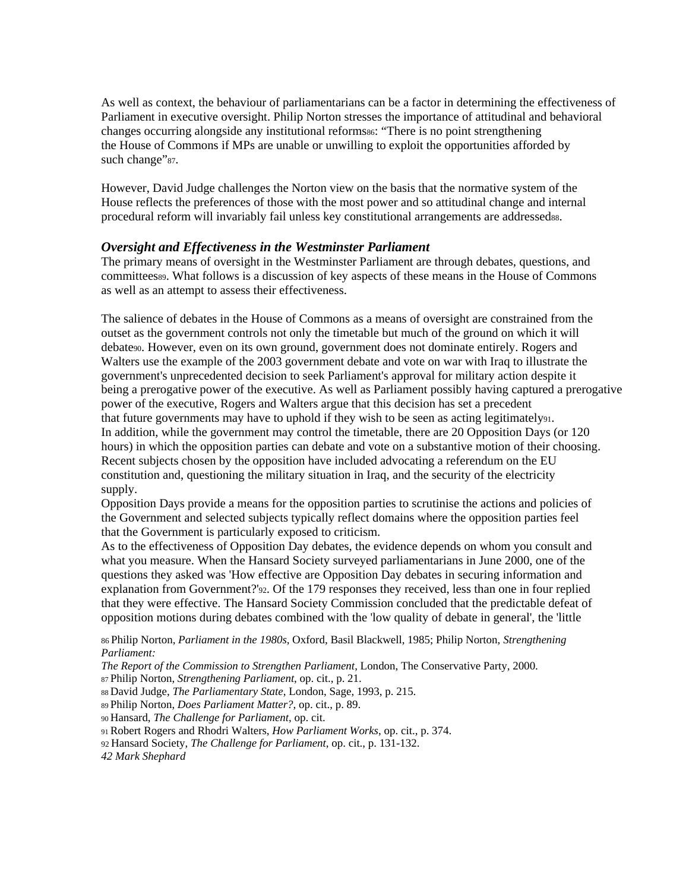As well as context, the behaviour of parliamentarians can be a factor in determining the effectiveness of Parliament in executive oversight. Philip Norton stresses the importance of attitudinal and behavioral changes occurring alongside any institutional reforms so: "There is no point strengthening the House of Commons if MPs are unable or unwilling to exploit the opportunities afforded by such change"87.

However, David Judge challenges the Norton view on the basis that the normative system of the House reflects the preferences of those with the most power and so attitudinal change and internal procedural reform will invariably fail unless key constitutional arrangements are addressedss.

#### *Oversight and Effectiveness in the Westminster Parliament*

The primary means of oversight in the Westminster Parliament are through debates, questions, and committees89. What follows is a discussion of key aspects of these means in the House of Commons as well as an attempt to assess their effectiveness.

The salience of debates in the House of Commons as a means of oversight are constrained from the outset as the government controls not only the timetable but much of the ground on which it will debate90. However, even on its own ground, government does not dominate entirely. Rogers and Walters use the example of the 2003 government debate and vote on war with Iraq to illustrate the government's unprecedented decision to seek Parliament's approval for military action despite it being a prerogative power of the executive. As well as Parliament possibly having captured a prerogative power of the executive, Rogers and Walters argue that this decision has set a precedent that future governments may have to uphold if they wish to be seen as acting legitimately91. In addition, while the government may control the timetable, there are 20 Opposition Days (or 120 hours) in which the opposition parties can debate and vote on a substantive motion of their choosing. Recent subjects chosen by the opposition have included advocating a referendum on the EU constitution and, questioning the military situation in Iraq, and the security of the electricity supply.

Opposition Days provide a means for the opposition parties to scrutinise the actions and policies of the Government and selected subjects typically reflect domains where the opposition parties feel that the Government is particularly exposed to criticism.

As to the effectiveness of Opposition Day debates, the evidence depends on whom you consult and what you measure. When the Hansard Society surveyed parliamentarians in June 2000, one of the questions they asked was 'How effective are Opposition Day debates in securing information and explanation from Government?'92. Of the 179 responses they received, less than one in four replied that they were effective. The Hansard Society Commission concluded that the predictable defeat of opposition motions during debates combined with the 'low quality of debate in general', the 'little

86 Philip Norton, *Parliament in the 1980s*, Oxford, Basil Blackwell, 1985; Philip Norton, *Strengthening Parliament:* 

*The Report of the Commission to Strengthen Parliament*, London, The Conservative Party, 2000.

87 Philip Norton, *Strengthening Parliament*, op. cit., p. 21.

88 David Judge, *The Parliamentary State*, London, Sage, 1993, p. 215.

89 Philip Norton, *Does Parliament Matter?*, op. cit., p. 89.

90 Hansard, *The Challenge for Parliament*, op. cit.

91 Robert Rogers and Rhodri Walters, *How Parliament Works*, op. cit., p. 374.

92 Hansard Society, *The Challenge for Parliament*, op. cit., p. 131-132.

*42 Mark Shephard*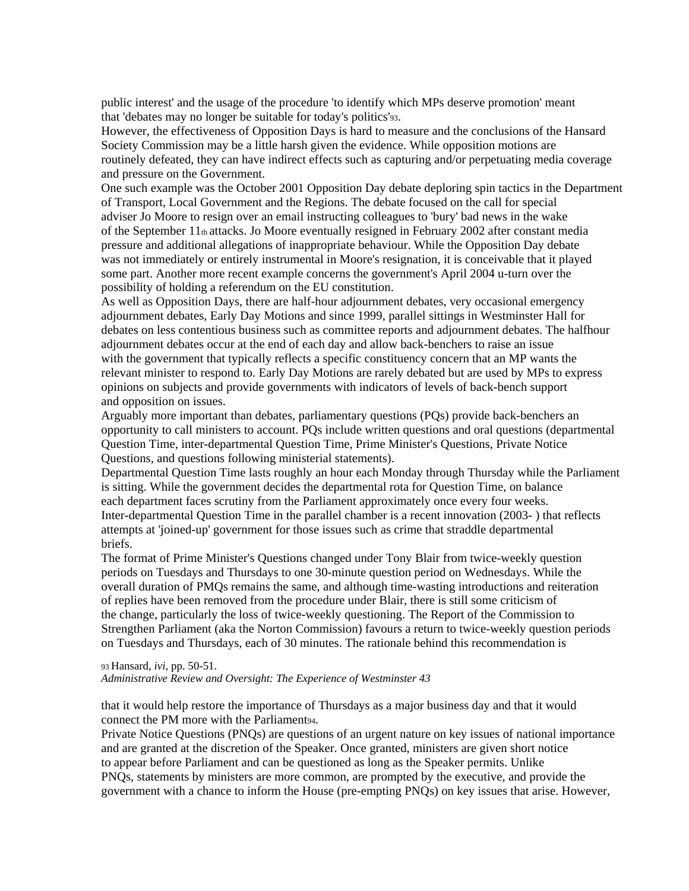public interest' and the usage of the procedure 'to identify which MPs deserve promotion' meant that 'debates may no longer be suitable for today's politics'93.

However, the effectiveness of Opposition Days is hard to measure and the conclusions of the Hansard Society Commission may be a little harsh given the evidence. While opposition motions are routinely defeated, they can have indirect effects such as capturing and/or perpetuating media coverage and pressure on the Government.

One such example was the October 2001 Opposition Day debate deploring spin tactics in the Department of Transport, Local Government and the Regions. The debate focused on the call for special adviser Jo Moore to resign over an email instructing colleagues to 'bury' bad news in the wake of the September  $11<sub>th</sub>$  attacks. Jo Moore eventually resigned in February 2002 after constant media pressure and additional allegations of inappropriate behaviour. While the Opposition Day debate was not immediately or entirely instrumental in Moore's resignation, it is conceivable that it played some part. Another more recent example concerns the government's April 2004 u-turn over the possibility of holding a referendum on the EU constitution.

As well as Opposition Days, there are half-hour adjournment debates, very occasional emergency adjournment debates, Early Day Motions and since 1999, parallel sittings in Westminster Hall for debates on less contentious business such as committee reports and adjournment debates. The halfhour adjournment debates occur at the end of each day and allow back-benchers to raise an issue with the government that typically reflects a specific constituency concern that an MP wants the relevant minister to respond to. Early Day Motions are rarely debated but are used by MPs to express opinions on subjects and provide governments with indicators of levels of back-bench support and opposition on issues.

Arguably more important than debates, parliamentary questions (PQs) provide back-benchers an opportunity to call ministers to account. PQs include written questions and oral questions (departmental Question Time, inter-departmental Question Time, Prime Minister's Questions, Private Notice Questions, and questions following ministerial statements).

Departmental Question Time lasts roughly an hour each Monday through Thursday while the Parliament is sitting. While the government decides the departmental rota for Question Time, on balance each department faces scrutiny from the Parliament approximately once every four weeks. Inter-departmental Question Time in the parallel chamber is a recent innovation (2003- ) that reflects attempts at 'joined-up' government for those issues such as crime that straddle departmental briefs.

The format of Prime Minister's Questions changed under Tony Blair from twice-weekly question periods on Tuesdays and Thursdays to one 30-minute question period on Wednesdays. While the overall duration of PMQs remains the same, and although time-wasting introductions and reiteration of replies have been removed from the procedure under Blair, there is still some criticism of the change, particularly the loss of twice-weekly questioning. The Report of the Commission to Strengthen Parliament (aka the Norton Commission) favours a return to twice-weekly question periods on Tuesdays and Thursdays, each of 30 minutes. The rationale behind this recommendation is

93 Hansard, *ivi*, pp. 50-51. *Administrative Review and Oversight: The Experience of Westminster 43* 

that it would help restore the importance of Thursdays as a major business day and that it would connect the PM more with the Parliament94.

Private Notice Questions (PNQs) are questions of an urgent nature on key issues of national importance and are granted at the discretion of the Speaker. Once granted, ministers are given short notice to appear before Parliament and can be questioned as long as the Speaker permits. Unlike PNQs, statements by ministers are more common, are prompted by the executive, and provide the government with a chance to inform the House (pre-empting PNQs) on key issues that arise. However,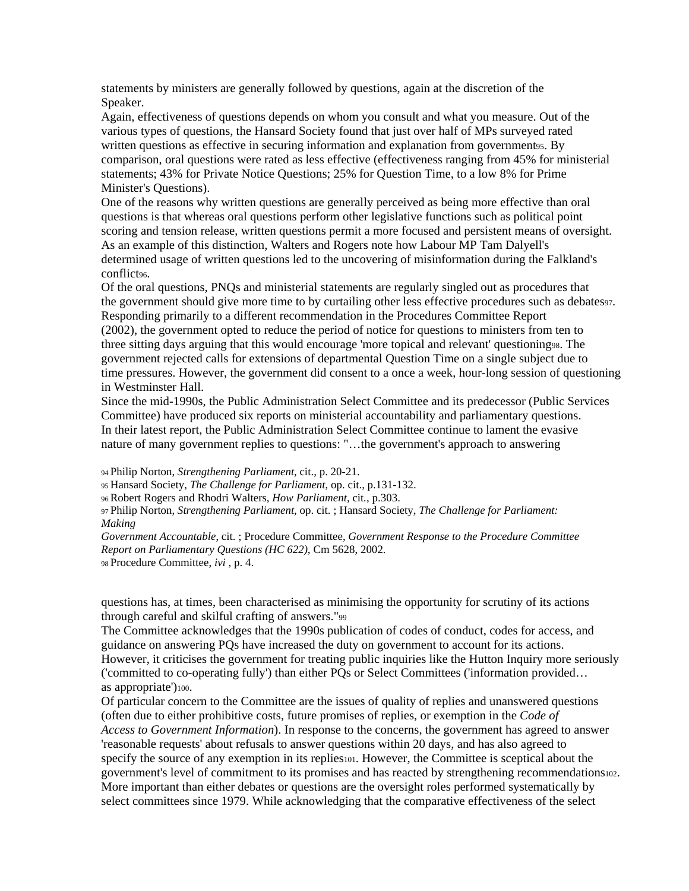statements by ministers are generally followed by questions, again at the discretion of the Speaker.

Again, effectiveness of questions depends on whom you consult and what you measure. Out of the various types of questions, the Hansard Society found that just over half of MPs surveyed rated written questions as effective in securing information and explanation from governmentss. By comparison, oral questions were rated as less effective (effectiveness ranging from 45% for ministerial statements; 43% for Private Notice Questions; 25% for Question Time, to a low 8% for Prime Minister's Questions).

One of the reasons why written questions are generally perceived as being more effective than oral questions is that whereas oral questions perform other legislative functions such as political point scoring and tension release, written questions permit a more focused and persistent means of oversight. As an example of this distinction, Walters and Rogers note how Labour MP Tam Dalyell's determined usage of written questions led to the uncovering of misinformation during the Falkland's conflict<sub>96</sub>.

Of the oral questions, PNQs and ministerial statements are regularly singled out as procedures that the government should give more time to by curtailing other less effective procedures such as debates97. Responding primarily to a different recommendation in the Procedures Committee Report (2002), the government opted to reduce the period of notice for questions to ministers from ten to three sitting days arguing that this would encourage 'more topical and relevant' questioning98. The government rejected calls for extensions of departmental Question Time on a single subject due to time pressures. However, the government did consent to a once a week, hour-long session of questioning in Westminster Hall.

Since the mid-1990s, the Public Administration Select Committee and its predecessor (Public Services Committee) have produced six reports on ministerial accountability and parliamentary questions. In their latest report, the Public Administration Select Committee continue to lament the evasive nature of many government replies to questions: "…the government's approach to answering

94 Philip Norton, *Strengthening Parliament*, cit., p. 20-21.

95 Hansard Society, *The Challenge for Parliament*, op. cit., p.131-132.

96 Robert Rogers and Rhodri Walters, *How Parliament*, cit*.*, p.303.

97 Philip Norton, *Strengthening Parliament*, op. cit. ; Hansard Society*, The Challenge for Parliament: Making* 

*Government Accountable*, cit. ; Procedure Committee, *Government Response to the Procedure Committee Report on Parliamentary Questions (HC 622)*, Cm 5628, 2002. 98 Procedure Committee, *ivi* , p. 4.

questions has, at times, been characterised as minimising the opportunity for scrutiny of its actions through careful and skilful crafting of answers."99

The Committee acknowledges that the 1990s publication of codes of conduct, codes for access, and guidance on answering PQs have increased the duty on government to account for its actions. However, it criticises the government for treating public inquiries like the Hutton Inquiry more seriously ('committed to co-operating fully') than either PQs or Select Committees ('information provided… as appropriate')100.

Of particular concern to the Committee are the issues of quality of replies and unanswered questions (often due to either prohibitive costs, future promises of replies, or exemption in the *Code of Access to Government Information*). In response to the concerns, the government has agreed to answer 'reasonable requests' about refusals to answer questions within 20 days, and has also agreed to specify the source of any exemption in its replies  $101$ . However, the Committee is sceptical about the government's level of commitment to its promises and has reacted by strengthening recommendations102. More important than either debates or questions are the oversight roles performed systematically by select committees since 1979. While acknowledging that the comparative effectiveness of the select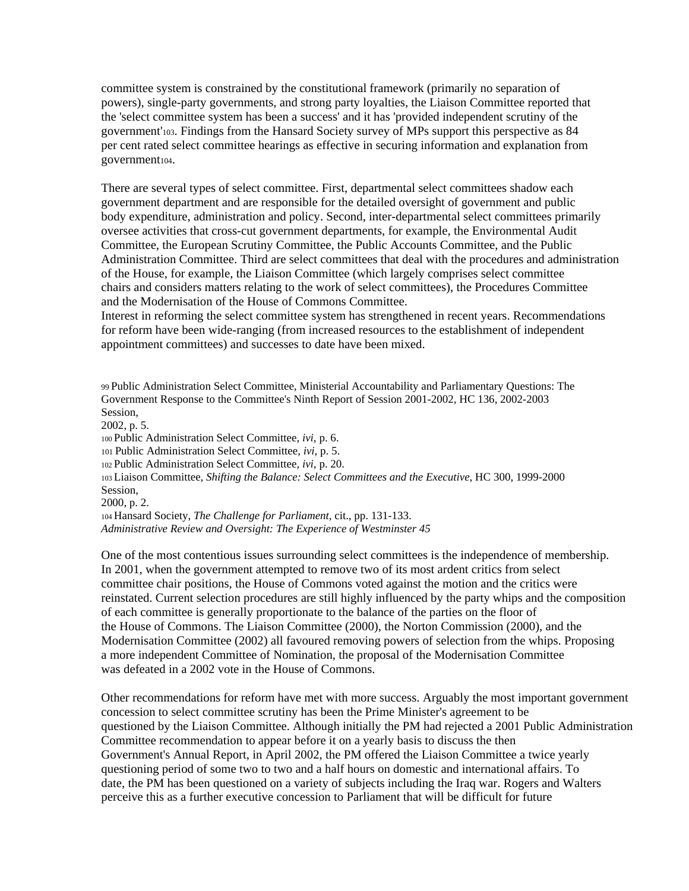committee system is constrained by the constitutional framework (primarily no separation of powers), single-party governments, and strong party loyalties, the Liaison Committee reported that the 'select committee system has been a success' and it has 'provided independent scrutiny of the government'103. Findings from the Hansard Society survey of MPs support this perspective as 84 per cent rated select committee hearings as effective in securing information and explanation from government104.

There are several types of select committee. First, departmental select committees shadow each government department and are responsible for the detailed oversight of government and public body expenditure, administration and policy. Second, inter-departmental select committees primarily oversee activities that cross-cut government departments, for example, the Environmental Audit Committee, the European Scrutiny Committee, the Public Accounts Committee, and the Public Administration Committee. Third are select committees that deal with the procedures and administration of the House, for example, the Liaison Committee (which largely comprises select committee chairs and considers matters relating to the work of select committees), the Procedures Committee and the Modernisation of the House of Commons Committee.

Interest in reforming the select committee system has strengthened in recent years. Recommendations for reform have been wide-ranging (from increased resources to the establishment of independent appointment committees) and successes to date have been mixed.

99 Public Administration Select Committee, Ministerial Accountability and Parliamentary Questions: The Government Response to the Committee's Ninth Report of Session 2001-2002, HC 136, 2002-2003 Session, 2002, p. 5. 100 Public Administration Select Committee, *ivi*, p. 6. 101 Public Administration Select Committee, *ivi*, p. 5. 102 Public Administration Select Committee, *ivi*, p. 20. 103 Liaison Committee, *Shifting the Balance: Select Committees and the Executive*, HC 300, 1999-2000 Session, 2000, p. 2. 104 Hansard Society, *The Challenge for Parliament*, cit., pp. 131-133. *Administrative Review and Oversight: The Experience of Westminster 45* 

One of the most contentious issues surrounding select committees is the independence of membership. In 2001, when the government attempted to remove two of its most ardent critics from select committee chair positions, the House of Commons voted against the motion and the critics were reinstated. Current selection procedures are still highly influenced by the party whips and the composition of each committee is generally proportionate to the balance of the parties on the floor of the House of Commons. The Liaison Committee (2000), the Norton Commission (2000), and the Modernisation Committee (2002) all favoured removing powers of selection from the whips. Proposing a more independent Committee of Nomination, the proposal of the Modernisation Committee was defeated in a 2002 vote in the House of Commons.

Other recommendations for reform have met with more success. Arguably the most important government concession to select committee scrutiny has been the Prime Minister's agreement to be questioned by the Liaison Committee. Although initially the PM had rejected a 2001 Public Administration Committee recommendation to appear before it on a yearly basis to discuss the then Government's Annual Report, in April 2002, the PM offered the Liaison Committee a twice yearly questioning period of some two to two and a half hours on domestic and international affairs. To date, the PM has been questioned on a variety of subjects including the Iraq war. Rogers and Walters perceive this as a further executive concession to Parliament that will be difficult for future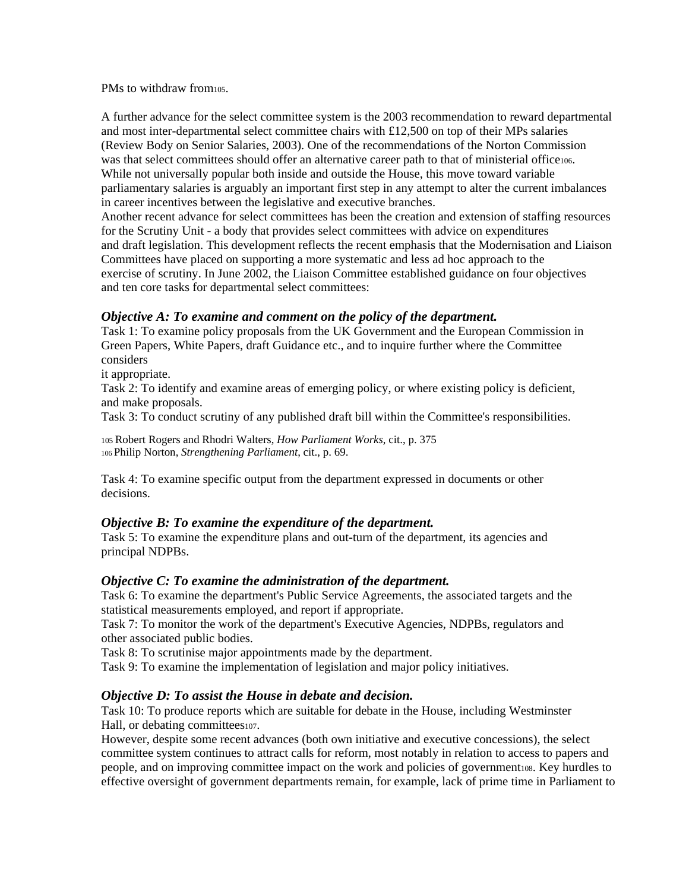#### PMs to withdraw from $105$ .

A further advance for the select committee system is the 2003 recommendation to reward departmental and most inter-departmental select committee chairs with £12,500 on top of their MPs salaries (Review Body on Senior Salaries, 2003). One of the recommendations of the Norton Commission was that select committees should offer an alternative career path to that of ministerial office106. While not universally popular both inside and outside the House, this move toward variable parliamentary salaries is arguably an important first step in any attempt to alter the current imbalances in career incentives between the legislative and executive branches. Another recent advance for select committees has been the creation and extension of staffing resources for the Scrutiny Unit - a body that provides select committees with advice on expenditures and draft legislation. This development reflects the recent emphasis that the Modernisation and Liaison Committees have placed on supporting a more systematic and less ad hoc approach to the exercise of scrutiny. In June 2002, the Liaison Committee established guidance on four objectives and ten core tasks for departmental select committees:

### *Objective A: To examine and comment on the policy of the department.*

Task 1: To examine policy proposals from the UK Government and the European Commission in Green Papers, White Papers, draft Guidance etc., and to inquire further where the Committee considers

it appropriate.

Task 2: To identify and examine areas of emerging policy, or where existing policy is deficient, and make proposals.

Task 3: To conduct scrutiny of any published draft bill within the Committee's responsibilities.

105 Robert Rogers and Rhodri Walters, *How Parliament Works*, cit., p. 375 106 Philip Norton, *Strengthening Parliament*, cit., p. 69.

Task 4: To examine specific output from the department expressed in documents or other decisions.

# *Objective B: To examine the expenditure of the department.*

Task 5: To examine the expenditure plans and out-turn of the department, its agencies and principal NDPBs.

#### *Objective C: To examine the administration of the department.*

Task 6: To examine the department's Public Service Agreements, the associated targets and the statistical measurements employed, and report if appropriate.

Task 7: To monitor the work of the department's Executive Agencies, NDPBs, regulators and other associated public bodies.

Task 8: To scrutinise major appointments made by the department.

Task 9: To examine the implementation of legislation and major policy initiatives.

# *Objective D: To assist the House in debate and decision.*

Task 10: To produce reports which are suitable for debate in the House, including Westminster Hall, or debating committees $107$ .

However, despite some recent advances (both own initiative and executive concessions), the select committee system continues to attract calls for reform, most notably in relation to access to papers and people, and on improving committee impact on the work and policies of governmentios. Key hurdles to effective oversight of government departments remain, for example, lack of prime time in Parliament to